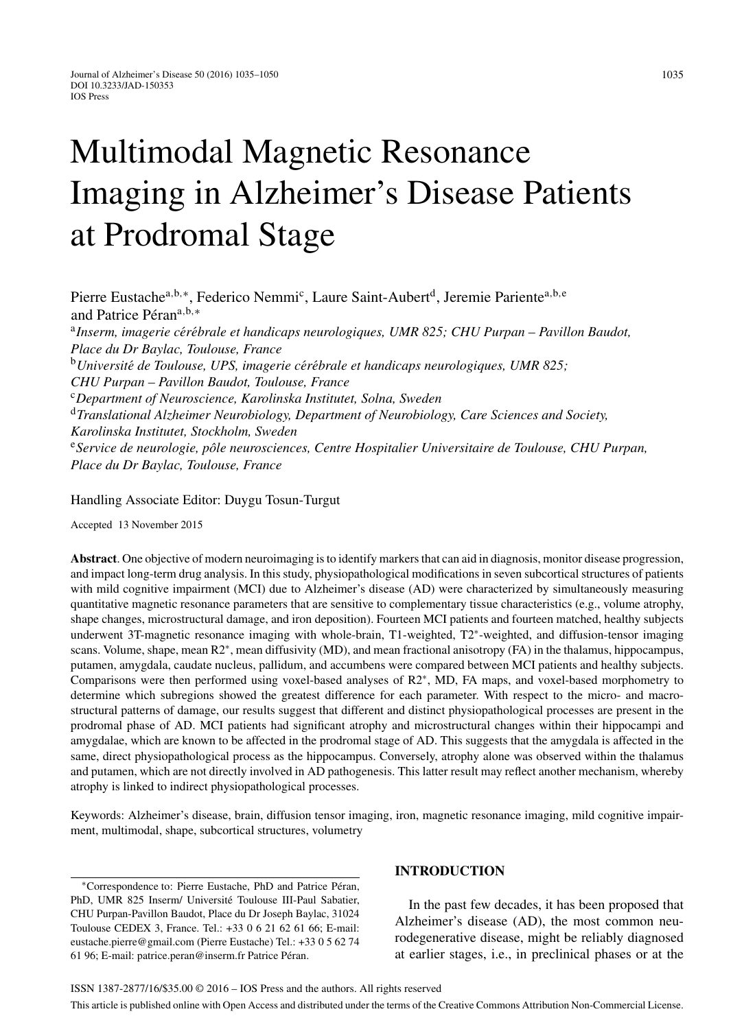# Multimodal Magnetic Resonance Imaging in Alzheimer's Disease Patients at Prodromal Stage

Pierre Eustachea*,*b*,*∗, Federico Nemmic , Laure Saint-Aubertd, Jeremie Parientea*,*b*,*<sup>e</sup> and Patrice Péran<sup>a,b,</sup>\* <sup>a</sup>*Inserm, imagerie ce*´*re*´*brale et handicaps neurologiques, UMR 825; CHU Purpan – Pavillon Baudot, Place du Dr Baylac, Toulouse, France* <sup>b</sup>*Universite*´ *de Toulouse, UPS, imagerie ce*´*re*´*brale et handicaps neurologiques, UMR 825; CHU Purpan – Pavillon Baudot, Toulouse, France* <sup>c</sup>*Department of Neuroscience, Karolinska Institutet, Solna, Sweden* <sup>d</sup>*Translational Alzheimer Neurobiology, Department of Neurobiology, Care Sciences and Society, Karolinska Institutet, Stockholm, Sweden* <sup>e</sup>*Service de neurologie, p ˆole neurosciences, Centre Hospitalier Universitaire de Toulouse, CHU Purpan, Place du Dr Baylac, Toulouse, France*

Handling Associate Editor: Duygu Tosun-Turgut

Accepted 13 November 2015

**Abstract**. One objective of modern neuroimaging is to identify markers that can aid in diagnosis, monitor disease progression, and impact long-term drug analysis. In this study, physiopathological modifications in seven subcortical structures of patients with mild cognitive impairment (MCI) due to Alzheimer's disease (AD) were characterized by simultaneously measuring quantitative magnetic resonance parameters that are sensitive to complementary tissue characteristics (e.g., volume atrophy, shape changes, microstructural damage, and iron deposition). Fourteen MCI patients and fourteen matched, healthy subjects underwent 3T-magnetic resonance imaging with whole-brain, T1-weighted, T2∗-weighted, and diffusion-tensor imaging scans. Volume, shape, mean R2<sup>∗</sup>, mean diffusivity (MD), and mean fractional anisotropy (FA) in the thalamus, hippocampus, putamen, amygdala, caudate nucleus, pallidum, and accumbens were compared between MCI patients and healthy subjects. Comparisons were then performed using voxel-based analyses of R2∗, MD, FA maps, and voxel-based morphometry to determine which subregions showed the greatest difference for each parameter. With respect to the micro- and macrostructural patterns of damage, our results suggest that different and distinct physiopathological processes are present in the prodromal phase of AD. MCI patients had significant atrophy and microstructural changes within their hippocampi and amygdalae, which are known to be affected in the prodromal stage of AD. This suggests that the amygdala is affected in the same, direct physiopathological process as the hippocampus. Conversely, atrophy alone was observed within the thalamus and putamen, which are not directly involved in AD pathogenesis. This latter result may reflect another mechanism, whereby atrophy is linked to indirect physiopathological processes.

Keywords: Alzheimer's disease, brain, diffusion tensor imaging, iron, magnetic resonance imaging, mild cognitive impairment, multimodal, shape, subcortical structures, volumetry

∗Correspondence to: Pierre Eustache, PhD and Patrice Peran, ´ PhD, UMR 825 Inserm/ Université Toulouse III-Paul Sabatier, CHU Purpan-Pavillon Baudot, Place du Dr Joseph Baylac, 31024 Toulouse CEDEX 3, France. Tel.: +33 0 6 21 62 61 66; E-mail: [eustache.pierre@gmail.com](mailto:eustache.pierre@gmail.com) (Pierre Eustache) Tel.: +33 0 5 62 74 61 96; E-mail: [patrice.peran@inserm.fr](mailto:patrice.peran@inserm.fr) Patrice Péran.

# **INTRODUCTION**

In the past few decades, it has been proposed that Alzheimer's disease (AD), the most common neurodegenerative disease, might be reliably diagnosed at earlier stages, i.e., in preclinical phases or at the

This article is published online with Open Access and distributed under the terms of the Creative Commons Attribution Non-Commercial License.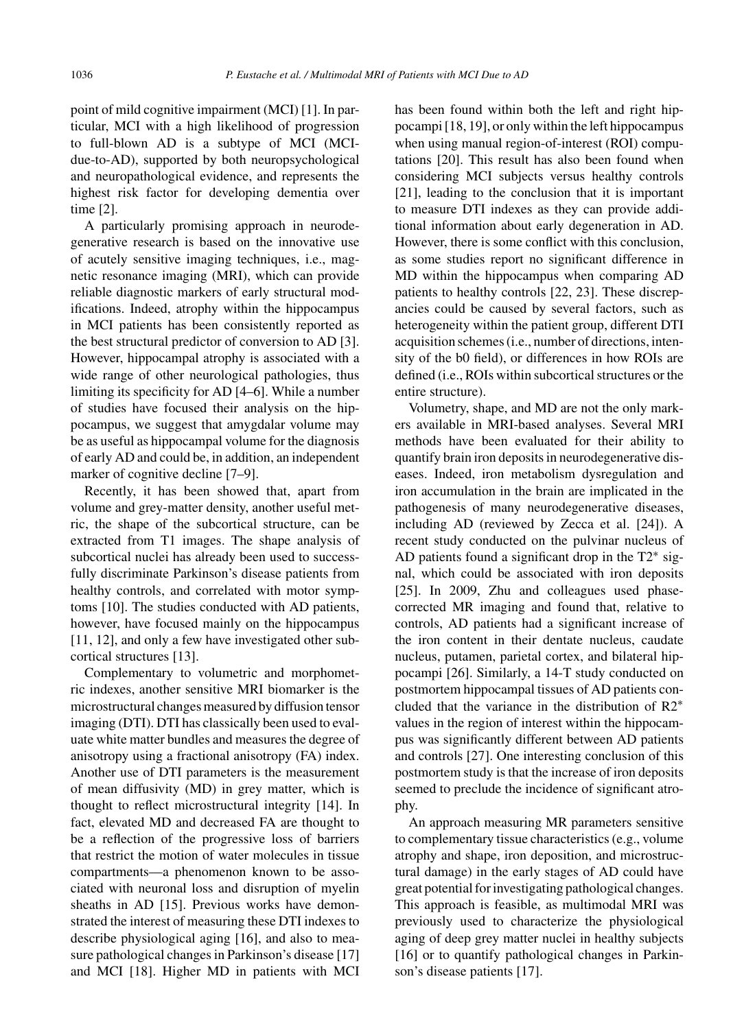point of mild cognitive impairment (MCI) [1]. In particular, MCI with a high likelihood of progression to full-blown AD is a subtype of MCI (MCIdue-to-AD), supported by both neuropsychological and neuropathological evidence, and represents the highest risk factor for developing dementia over time [2].

A particularly promising approach in neurodegenerative research is based on the innovative use of acutely sensitive imaging techniques, i.e., magnetic resonance imaging (MRI), which can provide reliable diagnostic markers of early structural modifications. Indeed, atrophy within the hippocampus in MCI patients has been consistently reported as the best structural predictor of conversion to AD [3]. However, hippocampal atrophy is associated with a wide range of other neurological pathologies, thus limiting its specificity for AD [4–6]. While a number of studies have focused their analysis on the hippocampus, we suggest that amygdalar volume may be as useful as hippocampal volume for the diagnosis of early AD and could be, in addition, an independent marker of cognitive decline [7–9].

Recently, it has been showed that, apart from volume and grey-matter density, another useful metric, the shape of the subcortical structure, can be extracted from T1 images. The shape analysis of subcortical nuclei has already been used to successfully discriminate Parkinson's disease patients from healthy controls, and correlated with motor symptoms [10]. The studies conducted with AD patients, however, have focused mainly on the hippocampus [11, 12], and only a few have investigated other subcortical structures [13].

Complementary to volumetric and morphometric indexes, another sensitive MRI biomarker is the microstructural changes measured by diffusion tensor imaging (DTI). DTI has classically been used to evaluate white matter bundles and measures the degree of anisotropy using a fractional anisotropy (FA) index. Another use of DTI parameters is the measurement of mean diffusivity (MD) in grey matter, which is thought to reflect microstructural integrity [14]. In fact, elevated MD and decreased FA are thought to be a reflection of the progressive loss of barriers that restrict the motion of water molecules in tissue compartments—a phenomenon known to be associated with neuronal loss and disruption of myelin sheaths in AD [15]. Previous works have demonstrated the interest of measuring these DTI indexes to describe physiological aging [16], and also to measure pathological changes in Parkinson's disease [17] and MCI [18]. Higher MD in patients with MCI

has been found within both the left and right hippocampi [18, 19], or only within the left hippocampus when using manual region-of-interest (ROI) computations [20]. This result has also been found when considering MCI subjects versus healthy controls [21], leading to the conclusion that it is important to measure DTI indexes as they can provide additional information about early degeneration in AD. However, there is some conflict with this conclusion, as some studies report no significant difference in MD within the hippocampus when comparing AD patients to healthy controls [22, 23]. These discrepancies could be caused by several factors, such as heterogeneity within the patient group, different DTI acquisition schemes (i.e., number of directions, intensity of the b0 field), or differences in how ROIs are defined (i.e., ROIs within subcortical structures or the entire structure).

Volumetry, shape, and MD are not the only markers available in MRI-based analyses. Several MRI methods have been evaluated for their ability to quantify brain iron deposits in neurodegenerative diseases. Indeed, iron metabolism dysregulation and iron accumulation in the brain are implicated in the pathogenesis of many neurodegenerative diseases, including AD (reviewed by Zecca et al. [24]). A recent study conducted on the pulvinar nucleus of AD patients found a significant drop in the T2∗ signal, which could be associated with iron deposits [25]. In 2009, Zhu and colleagues used phasecorrected MR imaging and found that, relative to controls, AD patients had a significant increase of the iron content in their dentate nucleus, caudate nucleus, putamen, parietal cortex, and bilateral hippocampi [26]. Similarly, a 14-T study conducted on postmortem hippocampal tissues of AD patients concluded that the variance in the distribution of R2∗ values in the region of interest within the hippocampus was significantly different between AD patients and controls [27]. One interesting conclusion of this postmortem study is that the increase of iron deposits seemed to preclude the incidence of significant atrophy.

An approach measuring MR parameters sensitive to complementary tissue characteristics (e.g., volume atrophy and shape, iron deposition, and microstructural damage) in the early stages of AD could have great potential for investigating pathological changes. This approach is feasible, as multimodal MRI was previously used to characterize the physiological aging of deep grey matter nuclei in healthy subjects [16] or to quantify pathological changes in Parkinson's disease patients [17].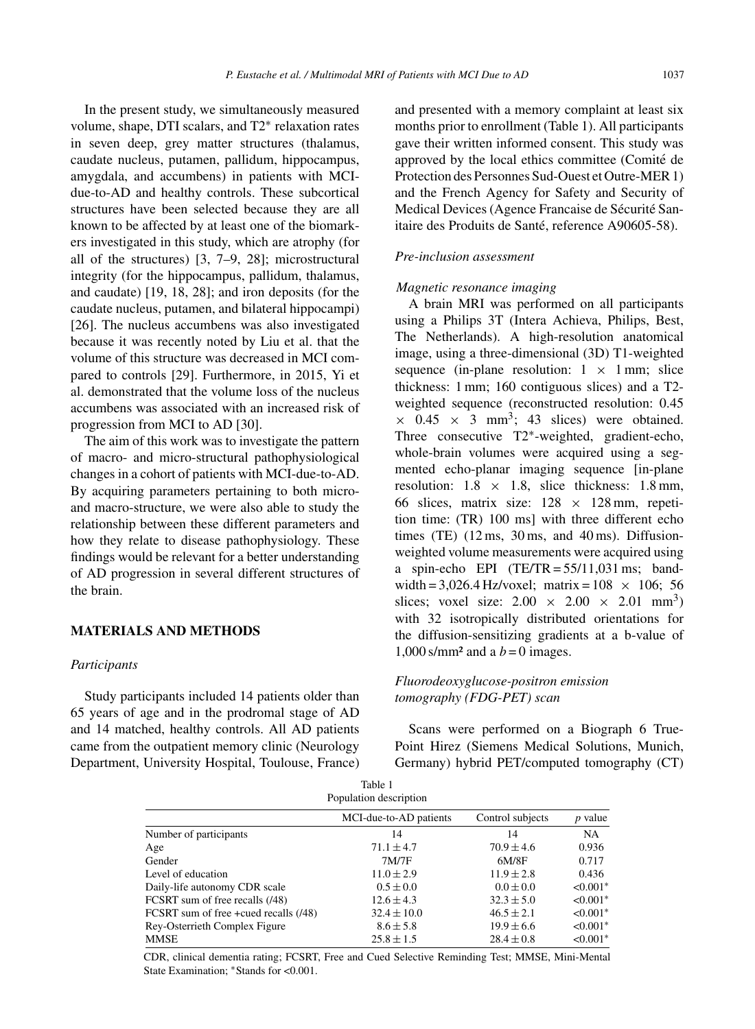In the present study, we simultaneously measured volume, shape, DTI scalars, and T2∗ relaxation rates in seven deep, grey matter structures (thalamus, caudate nucleus, putamen, pallidum, hippocampus, amygdala, and accumbens) in patients with MCIdue-to-AD and healthy controls. These subcortical structures have been selected because they are all known to be affected by at least one of the biomarkers investigated in this study, which are atrophy (for all of the structures) [3, 7–9, 28]; microstructural integrity (for the hippocampus, pallidum, thalamus, and caudate) [19, 18, 28]; and iron deposits (for the caudate nucleus, putamen, and bilateral hippocampi) [26]. The nucleus accumbens was also investigated because it was recently noted by Liu et al. that the volume of this structure was decreased in MCI compared to controls [29]. Furthermore, in 2015, Yi et al. demonstrated that the volume loss of the nucleus accumbens was associated with an increased risk of progression from MCI to AD [30].

The aim of this work was to investigate the pattern of macro- and micro-structural pathophysiological changes in a cohort of patients with MCI-due-to-AD. By acquiring parameters pertaining to both microand macro-structure, we were also able to study the relationship between these different parameters and how they relate to disease pathophysiology. These findings would be relevant for a better understanding of AD progression in several different structures of the brain.

## **MATERIALS AND METHODS**

#### *Participants*

Study participants included 14 patients older than 65 years of age and in the prodromal stage of AD and 14 matched, healthy controls. All AD patients came from the outpatient memory clinic (Neurology Department, University Hospital, Toulouse, France) and presented with a memory complaint at least six months prior to enrollment (Table 1). All participants gave their written informed consent. This study was approved by the local ethics committee (Comité de Protection des Personnes Sud-Ouest et Outre-MER 1) and the French Agency for Safety and Security of Medical Devices (Agence Francaise de Sécurité Sanitaire des Produits de Santé, reference A90605-58).

# *Pre-inclusion assessment*

# *Magnetic resonance imaging*

A brain MRI was performed on all participants using a Philips 3T (Intera Achieva, Philips, Best, The Netherlands). A high-resolution anatomical image, using a three-dimensional (3D) T1-weighted sequence (in-plane resolution:  $1 \times 1$  mm; slice thickness: 1 mm; 160 contiguous slices) and a T2 weighted sequence (reconstructed resolution: 0.45  $\times$  0.45  $\times$  3 mm<sup>3</sup>; 43 slices) were obtained. Three consecutive T2∗-weighted, gradient-echo, whole-brain volumes were acquired using a segmented echo-planar imaging sequence [in-plane resolution:  $1.8 \times 1.8$ , slice thickness:  $1.8 \text{ mm}$ , 66 slices, matrix size:  $128 \times 128$  mm, repetition time: (TR) 100 ms] with three different echo times  $(TE)$   $(12 \text{ ms}, 30 \text{ ms}, \text{ and } 40 \text{ ms})$ . Diffusionweighted volume measurements were acquired using a spin-echo EPI  $(TE/TR = 55/11,031 \text{ ms}; \text{ band}$ width = 3,026.4 Hz/voxel; matrix =  $108 \times 106$ ; 56 slices; voxel size:  $2.00 \times 2.00 \times 2.01 \text{ mm}^3$ ) with 32 isotropically distributed orientations for the diffusion-sensitizing gradients at a b-value of 1,000 s/mm<sup>2</sup> and a  $b = 0$  images.

# *Fluorodeoxyglucose-positron emission tomography (FDG-PET) scan*

Scans were performed on a Biograph 6 True-Point Hirez (Siemens Medical Solutions, Munich, Germany) hybrid PET/computed tomography (CT)

| Population description                |                        |                  |                |  |  |
|---------------------------------------|------------------------|------------------|----------------|--|--|
|                                       | MCI-due-to-AD patients | Control subjects | <i>p</i> value |  |  |
| Number of participants                | 14                     | 14               | <b>NA</b>      |  |  |
| Age                                   | $71.1 \pm 4.7$         | $70.9 \pm 4.6$   | 0.936          |  |  |
| Gender                                | 7M/7F                  | 6M/8F            | 0.717          |  |  |
| Level of education                    | $11.0 \pm 2.9$         | $11.9 \pm 2.8$   | 0.436          |  |  |
| Daily-life autonomy CDR scale         | $0.5 \pm 0.0$          | $0.0 \pm 0.0$    | $< 0.001*$     |  |  |
| FCSRT sum of free recalls (/48)       | $12.6 \pm 4.3$         | $32.3 \pm 5.0$   | $< 0.001*$     |  |  |
| FCSRT sum of free +cued recalls (/48) | $32.4 \pm 10.0$        | $46.5 \pm 2.1$   | $< 0.001*$     |  |  |
| Rey-Osterrieth Complex Figure         | $8.6 \pm 5.8$          | $19.9 \pm 6.6$   | $< 0.001*$     |  |  |
| MMSE                                  | $25.8 \pm 1.5$         | $28.4 \pm 0.8$   | $< 0.001*$     |  |  |

Table 1

CDR, clinical dementia rating; FCSRT, Free and Cued Selective Reminding Test; MMSE, Mini-Mental State Examination; ∗Stands for <0.001.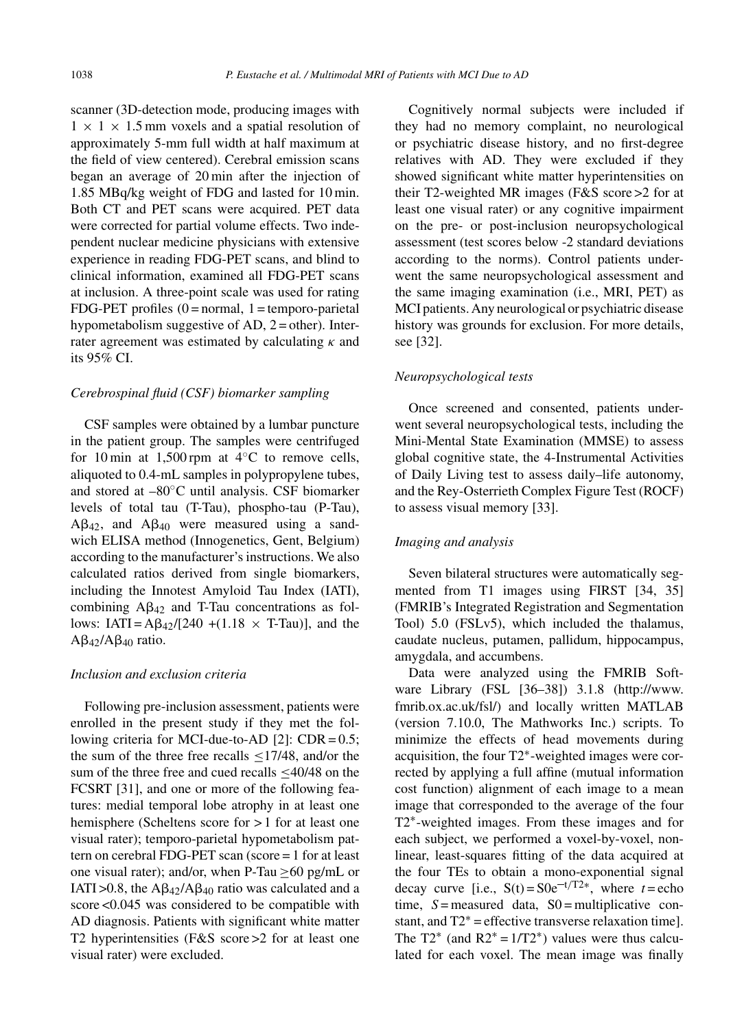scanner (3D-detection mode, producing images with  $1 \times 1 \times 1.5$  mm voxels and a spatial resolution of approximately 5-mm full width at half maximum at the field of view centered). Cerebral emission scans began an average of 20 min after the injection of 1.85 MBq/kg weight of FDG and lasted for 10 min. Both CT and PET scans were acquired. PET data were corrected for partial volume effects. Two independent nuclear medicine physicians with extensive experience in reading FDG-PET scans, and blind to clinical information, examined all FDG-PET scans at inclusion. A three-point scale was used for rating FDG-PET profiles  $(0 = normal, 1 = temporo-parietal$ hypometabolism suggestive of  $AD$ ,  $2 = other$ ). Interrater agreement was estimated by calculating *κ* and its 95% CI.

#### *Cerebrospinal fluid (CSF) biomarker sampling*

CSF samples were obtained by a lumbar puncture in the patient group. The samples were centrifuged for 10 min at 1,500 rpm at  $4°C$  to remove cells, aliquoted to 0.4-mL samples in polypropylene tubes, and stored at –80◦C until analysis. CSF biomarker levels of total tau (T-Tau), phospho-tau (P-Tau),  $A\beta_{42}$ , and  $A\beta_{40}$  were measured using a sandwich ELISA method (Innogenetics, Gent, Belgium) according to the manufacturer's instructions. We also calculated ratios derived from single biomarkers, including the Innotest Amyloid Tau Index (IATI), combining  $\mathbf{A}\beta_{42}$  and T-Tau concentrations as follows:  $IATI = A\beta_{42}/[240 + (1.18 \times T-Tau)],$  and the  $A\beta_{42}/A\beta_{40}$  ratio.

## *Inclusion and exclusion criteria*

Following pre-inclusion assessment, patients were enrolled in the present study if they met the following criteria for MCI-due-to-AD [2]: CDR = 0.5; the sum of the three free recalls  $\leq$ 17/48, and/or the sum of the three free and cued recalls <40/48 on the FCSRT [31], and one or more of the following features: medial temporal lobe atrophy in at least one hemisphere (Scheltens score for > 1 for at least one visual rater); temporo-parietal hypometabolism pattern on cerebral FDG-PET scan (score = 1 for at least one visual rater); and/or, when P-Tau  $\geq 60$  pg/mL or IATI > 0.8, the  $A\beta_{42}/A\beta_{40}$  ratio was calculated and a score <0.045 was considered to be compatible with AD diagnosis. Patients with significant white matter T2 hyperintensities (F&S score > 2 for at least one visual rater) were excluded.

Cognitively normal subjects were included if they had no memory complaint, no neurological or psychiatric disease history, and no first-degree relatives with AD. They were excluded if they showed significant white matter hyperintensities on their T2-weighted MR images (F&S score >2 for at least one visual rater) or any cognitive impairment on the pre- or post-inclusion neuropsychological assessment (test scores below -2 standard deviations according to the norms). Control patients underwent the same neuropsychological assessment and the same imaging examination (i.e., MRI, PET) as MCI patients. Any neurological or psychiatric disease history was grounds for exclusion. For more details, see [32].

#### *Neuropsychological tests*

Once screened and consented, patients underwent several neuropsychological tests, including the Mini-Mental State Examination (MMSE) to assess global cognitive state, the 4-Instrumental Activities of Daily Living test to assess daily–life autonomy, and the Rey-Osterrieth Complex Figure Test (ROCF) to assess visual memory [33].

# *Imaging and analysis*

Seven bilateral structures were automatically segmented from T1 images using FIRST [34, 35] (FMRIB's Integrated Registration and Segmentation Tool) 5.0 (FSLv5), which included the thalamus, caudate nucleus, putamen, pallidum, hippocampus, amygdala, and accumbens.

Data were analyzed using the FMRIB Software Library (FSL [36–38]) 3.1.8 ([http://www.](http://www.fmrib.ox.ac.uk/fsl/) [fmrib.ox.ac.uk/fsl/](http://www.fmrib.ox.ac.uk/fsl/)) and locally written MATLAB (version 7.10.0, The Mathworks Inc.) scripts. To minimize the effects of head movements during acquisition, the four T2∗-weighted images were corrected by applying a full affine (mutual information cost function) alignment of each image to a mean image that corresponded to the average of the four T2∗-weighted images. From these images and for each subject, we performed a voxel-by-voxel, nonlinear, least-squares fitting of the data acquired at the four TEs to obtain a mono-exponential signal decay curve [i.e.,  $S(t) = S0e^{-t/T2*}$ , where  $t =$ echo time,  $S =$  measured data,  $S0 =$  multiplicative constant, and  $T2^*$  = effective transverse relaxation time]. The T2<sup>\*</sup> (and R2<sup>\*</sup> = 1/T2<sup>\*</sup>) values were thus calculated for each voxel. The mean image was finally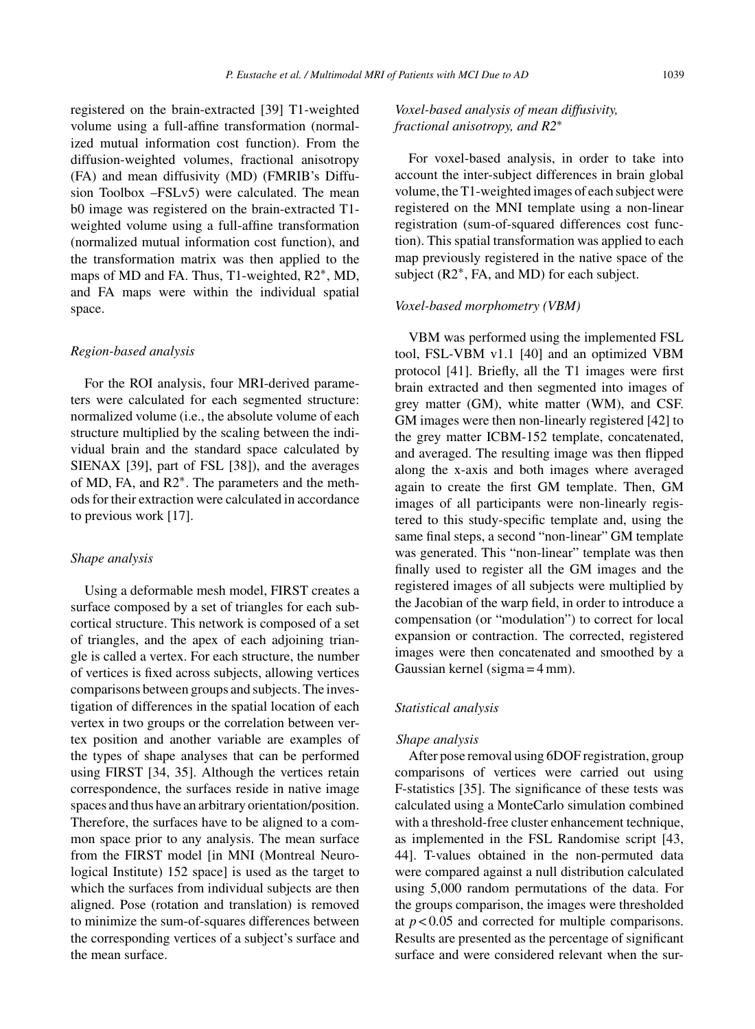registered on the brain-extracted [39] T1-weighted volume using a full-affine transformation (normalized mutual information cost function). From the diffusion-weighted volumes, fractional anisotropy (FA) and mean diffusivity (MD) (FMRIB's Diffusion Toolbox –FSLv5) were calculated. The mean b0 image was registered on the brain-extracted T1 weighted volume using a full-affine transformation (normalized mutual information cost function), and the transformation matrix was then applied to the maps of MD and FA. Thus, T1-weighted, R2<sup>∗</sup>, MD, and FA maps were within the individual spatial space.

#### *Region-based analysis*

For the ROI analysis, four MRI-derived parameters were calculated for each segmented structure: normalized volume (i.e., the absolute volume of each structure multiplied by the scaling between the individual brain and the standard space calculated by SIENAX [39], part of FSL [38]), and the averages of MD, FA, and R2∗. The parameters and the methods for their extraction were calculated in accordance to previous work [17].

#### *Shape analysis*

Using a deformable mesh model, FIRST creates a surface composed by a set of triangles for each subcortical structure. This network is composed of a set of triangles, and the apex of each adjoining triangle is called a vertex. For each structure, the number of vertices is fixed across subjects, allowing vertices comparisons between groups and subjects. The investigation of differences in the spatial location of each vertex in two groups or the correlation between vertex position and another variable are examples of the types of shape analyses that can be performed using FIRST [34, 35]. Although the vertices retain correspondence, the surfaces reside in native image spaces and thus have an arbitrary orientation/position. Therefore, the surfaces have to be aligned to a common space prior to any analysis. The mean surface from the FIRST model [in MNI (Montreal Neurological Institute) 152 space] is used as the target to which the surfaces from individual subjects are then aligned. Pose (rotation and translation) is removed to minimize the sum-of-squares differences between the corresponding vertices of a subject's surface and the mean surface.

# *Voxel-based analysis of mean diffusivity, fractional anisotropy, and R2*∗

For voxel-based analysis, in order to take into account the inter-subject differences in brain global volume, the T1-weighted images of each subject were registered on the MNI template using a non-linear registration (sum-of-squared differences cost function). This spatial transformation was applied to each map previously registered in the native space of the subject (R2∗, FA, and MD) for each subject.

# *Voxel-based morphometry (VBM)*

VBM was performed using the implemented FSL tool, FSL-VBM v1.1 [40] and an optimized VBM protocol [41]. Briefly, all the T1 images were first brain extracted and then segmented into images of grey matter (GM), white matter (WM), and CSF. GM images were then non-linearly registered [42] to the grey matter ICBM-152 template, concatenated, and averaged. The resulting image was then flipped along the x-axis and both images where averaged again to create the first GM template. Then, GM images of all participants were non-linearly registered to this study-specific template and, using the same final steps, a second "non-linear" GM template was generated. This "non-linear" template was then finally used to register all the GM images and the registered images of all subjects were multiplied by the Jacobian of the warp field, in order to introduce a compensation (or "modulation") to correct for local expansion or contraction. The corrected, registered images were then concatenated and smoothed by a Gaussian kernel (sigma = 4 mm).

#### *Statistical analysis*

#### *Shape analysis*

After pose removal using 6DOF registration, group comparisons of vertices were carried out using F-statistics [35]. The significance of these tests was calculated using a MonteCarlo simulation combined with a threshold-free cluster enhancement technique, as implemented in the FSL Randomise script [43, 44]. T-values obtained in the non-permuted data were compared against a null distribution calculated using 5,000 random permutations of the data. For the groups comparison, the images were thresholded at  $p < 0.05$  and corrected for multiple comparisons. Results are presented as the percentage of significant surface and were considered relevant when the sur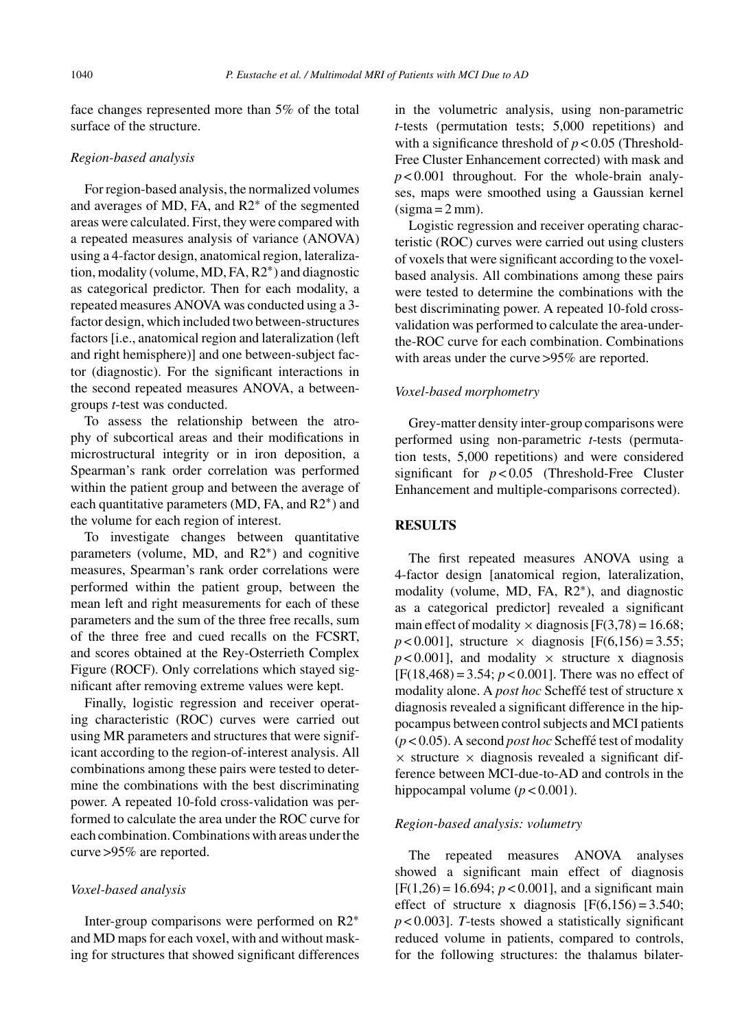face changes represented more than 5% of the total surface of the structure.

## *Region-based analysis*

For region-based analysis, the normalized volumes and averages of MD, FA, and R2∗ of the segmented areas were calculated. First, they were compared with a repeated measures analysis of variance (ANOVA) using a 4-factor design, anatomical region, lateralization, modality (volume, MD, FA, R2∗) and diagnostic as categorical predictor. Then for each modality, a repeated measures ANOVA was conducted using a 3 factor design, which included two between-structures factors [i.e., anatomical region and lateralization (left and right hemisphere)] and one between-subject factor (diagnostic). For the significant interactions in the second repeated measures ANOVA, a betweengroups *t*-test was conducted.

To assess the relationship between the atrophy of subcortical areas and their modifications in microstructural integrity or in iron deposition, a Spearman's rank order correlation was performed within the patient group and between the average of each quantitative parameters (MD, FA, and R2∗) and the volume for each region of interest.

To investigate changes between quantitative parameters (volume, MD, and R2∗) and cognitive measures, Spearman's rank order correlations were performed within the patient group, between the mean left and right measurements for each of these parameters and the sum of the three free recalls, sum of the three free and cued recalls on the FCSRT, and scores obtained at the Rey-Osterrieth Complex Figure (ROCF). Only correlations which stayed significant after removing extreme values were kept.

Finally, logistic regression and receiver operating characteristic (ROC) curves were carried out using MR parameters and structures that were significant according to the region-of-interest analysis. All combinations among these pairs were tested to determine the combinations with the best discriminating power. A repeated 10-fold cross-validation was performed to calculate the area under the ROC curve for each combination. Combinations with areas under the curve >95% are reported.

#### *Voxel-based analysis*

Inter-group comparisons were performed on R2∗ and MD maps for each voxel, with and without masking for structures that showed significant differences

in the volumetric analysis, using non-parametric *t*-tests (permutation tests; 5,000 repetitions) and with a significance threshold of  $p < 0.05$  (Threshold-Free Cluster Enhancement corrected) with mask and  $p < 0.001$  throughout. For the whole-brain analyses, maps were smoothed using a Gaussian kernel  $(sigma = 2 mm)$ .

Logistic regression and receiver operating characteristic (ROC) curves were carried out using clusters of voxels that were significant according to the voxelbased analysis. All combinations among these pairs were tested to determine the combinations with the best discriminating power. A repeated 10-fold crossvalidation was performed to calculate the area-underthe-ROC curve for each combination. Combinations with areas under the curve >95% are reported.

## *Voxel-based morphometry*

Grey-matter density inter-group comparisons were performed using non-parametric *t*-tests (permutation tests, 5,000 repetitions) and were considered significant for *p* < 0.05 (Threshold-Free Cluster Enhancement and multiple-comparisons corrected).

#### **RESULTS**

The first repeated measures ANOVA using a 4-factor design [anatomical region, lateralization, modality (volume, MD, FA, R2∗), and diagnostic as a categorical predictor] revealed a significant main effect of modality  $\times$  diagnosis [F(3,78) = 16.68;  $p < 0.001$ ], structure  $\times$  diagnosis [F(6,156) = 3.55;  $p$  < 0.001], and modality  $\times$  structure x diagnosis  $[F(18, 468) = 3.54; p < 0.001]$ . There was no effect of modality alone. A *post hoc* Scheffe test of structure x ´ diagnosis revealed a significant difference in the hippocampus between control subjects and MCI patients (*p* < 0.05). A second *post hoc* Scheffe test of modality ´  $\times$  structure  $\times$  diagnosis revealed a significant difference between MCI-due-to-AD and controls in the hippocampal volume  $(p < 0.001)$ .

# *Region-based analysis: volumetry*

The repeated measures ANOVA analyses showed a significant main effect of diagnosis  $[F(1,26) = 16.694; p < 0.001]$ , and a significant main effect of structure x diagnosis  $[F(6,156) = 3.540;$ *p* < 0.003]. *T*-tests showed a statistically significant reduced volume in patients, compared to controls, for the following structures: the thalamus bilater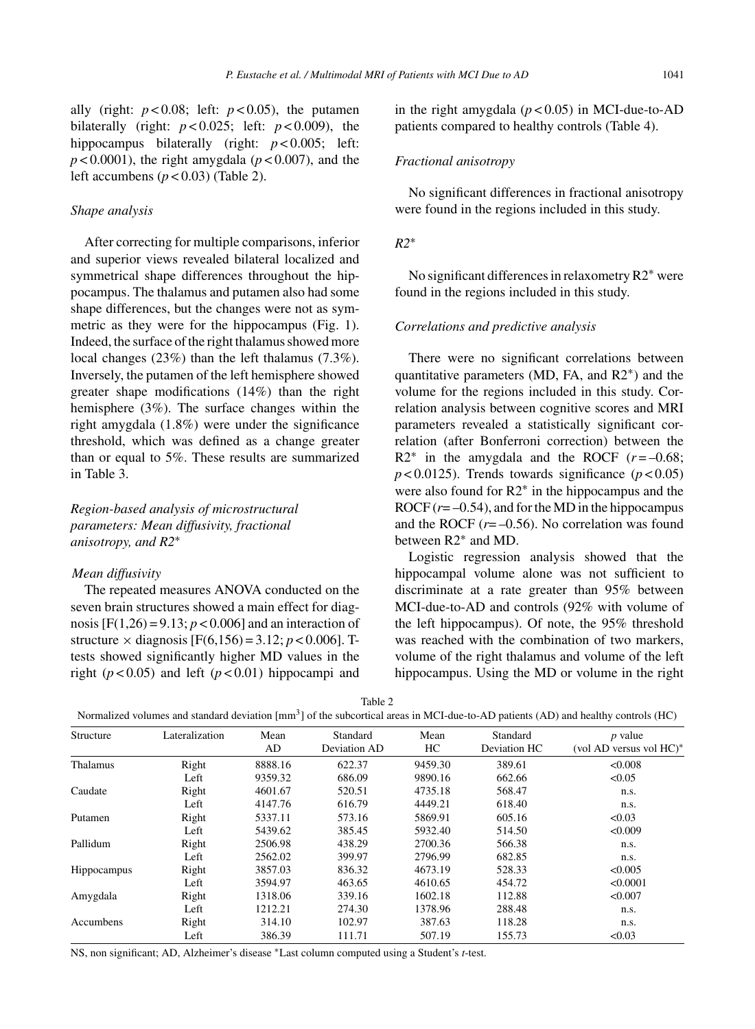ally (right:  $p < 0.08$ ; left:  $p < 0.05$ ), the putamen bilaterally (right:  $p < 0.025$ ; left:  $p < 0.009$ ), the hippocampus bilaterally (right:  $p < 0.005$ ; left:  $p < 0.0001$ ), the right amygdala ( $p < 0.007$ ), and the left accumbens  $(p < 0.03)$  (Table 2).

# *Shape analysis*

After correcting for multiple comparisons, inferior and superior views revealed bilateral localized and symmetrical shape differences throughout the hippocampus. The thalamus and putamen also had some shape differences, but the changes were not as symmetric as they were for the hippocampus (Fig. 1). Indeed, the surface of the right thalamus showed more local changes (23%) than the left thalamus (7.3%). Inversely, the putamen of the left hemisphere showed greater shape modifications (14%) than the right hemisphere (3%). The surface changes within the right amygdala (1.8%) were under the significance threshold, which was defined as a change greater than or equal to 5%. These results are summarized in Table 3.

# *Region-based analysis of microstructural parameters: Mean diffusivity, fractional anisotropy, and R2*∗

# *Mean diffusivity*

The repeated measures ANOVA conducted on the seven brain structures showed a main effect for diagnosis  $[F(1,26) = 9.13; p < 0.006]$  and an interaction of structure  $\times$  diagnosis [F(6,156) = 3.12; *p* < 0.006]. Ttests showed significantly higher MD values in the right ( $p < 0.05$ ) and left ( $p < 0.01$ ) hippocampi and

in the right amygdala  $(p < 0.05)$  in MCI-due-to-AD patients compared to healthy controls (Table 4).

#### *Fractional anisotropy*

No significant differences in fractional anisotropy were found in the regions included in this study.

# *R2*∗

No significant differences in relaxometry R2∗ were found in the regions included in this study.

#### *Correlations and predictive analysis*

There were no significant correlations between quantitative parameters (MD, FA, and R2∗) and the volume for the regions included in this study. Correlation analysis between cognitive scores and MRI parameters revealed a statistically significant correlation (after Bonferroni correction) between the  $R2^*$  in the amygdala and the ROCF  $(r = -0.68)$ ;  $p < 0.0125$ ). Trends towards significance ( $p < 0.05$ ) were also found for R2∗ in the hippocampus and the ROCF  $(r = -0.54)$ , and for the MD in the hippocampus and the ROCF  $(r=-0.56)$ . No correlation was found between R2∗ and MD.

Logistic regression analysis showed that the hippocampal volume alone was not sufficient to discriminate at a rate greater than 95% between MCI-due-to-AD and controls (92% with volume of the left hippocampus). Of note, the 95% threshold was reached with the combination of two markers, volume of the right thalamus and volume of the left hippocampus. Using the MD or volume in the right

| Normalized volumes and standard deviation [mm <sup>3</sup> ] of the subcortical areas in MCI-due-to-AD patients (AD) and healthy controls (HC) |  |  |
|------------------------------------------------------------------------------------------------------------------------------------------------|--|--|
|------------------------------------------------------------------------------------------------------------------------------------------------|--|--|

| Structure   | Lateralization | Mean    | Standard     | Mean    | Standard     | $p$ value               |
|-------------|----------------|---------|--------------|---------|--------------|-------------------------|
|             |                | AD      | Deviation AD | HС      | Deviation HC | (vol AD versus vol HC)* |
| Thalamus    | Right          | 8888.16 | 622.37       | 9459.30 | 389.61       | < 0.008                 |
|             | Left           | 9359.32 | 686.09       | 9890.16 | 662.66       | < 0.05                  |
| Caudate     | Right          | 4601.67 | 520.51       | 4735.18 | 568.47       | n.s.                    |
|             | Left           | 4147.76 | 616.79       | 4449.21 | 618.40       | n.s.                    |
| Putamen     | Right          | 5337.11 | 573.16       | 5869.91 | 605.16       | < 0.03                  |
|             | Left           | 5439.62 | 385.45       | 5932.40 | 514.50       | < 0.009                 |
| Pallidum    | Right          | 2506.98 | 438.29       | 2700.36 | 566.38       | n.s.                    |
|             | Left           | 2562.02 | 399.97       | 2796.99 | 682.85       | n.s.                    |
| Hippocampus | Right          | 3857.03 | 836.32       | 4673.19 | 528.33       | < 0.005                 |
|             | Left           | 3594.97 | 463.65       | 4610.65 | 454.72       | < 0.0001                |
| Amygdala    | Right          | 1318.06 | 339.16       | 1602.18 | 112.88       | < 0.007                 |
|             | Left           | 1212.21 | 274.30       | 1378.96 | 288.48       | n.s.                    |
| Accumbens   | Right          | 314.10  | 102.97       | 387.63  | 118.28       | n.s.                    |
|             | Left           | 386.39  | 111.71       | 507.19  | 155.73       | < 0.03                  |

NS, non significant; AD, Alzheimer's disease ∗Last column computed using a Student's *t*-test.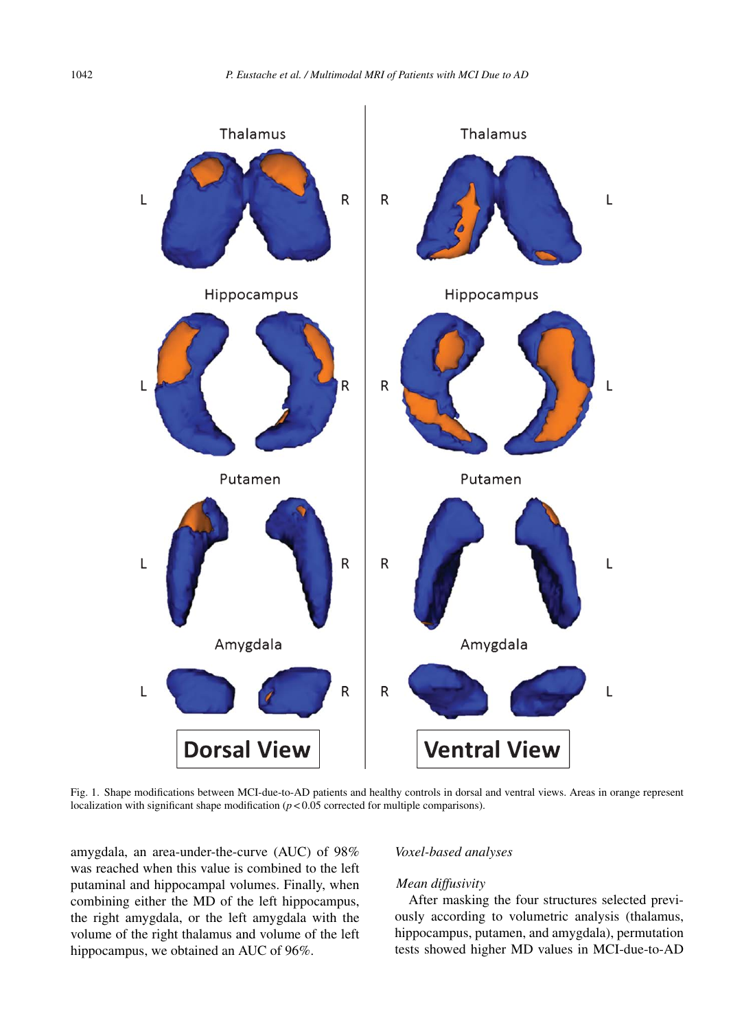

Fig. 1. Shape modifications between MCI-due-to-AD patients and healthy controls in dorsal and ventral views. Areas in orange represent localization with significant shape modification  $(p < 0.05$  corrected for multiple comparisons).

amygdala, an area-under-the-curve (AUC) of 98% was reached when this value is combined to the left putaminal and hippocampal volumes. Finally, when combining either the MD of the left hippocampus, the right amygdala, or the left amygdala with the volume of the right thalamus and volume of the left hippocampus, we obtained an AUC of 96%.

#### *Voxel-based analyses*

# *Mean diffusivity*

After masking the four structures selected previously according to volumetric analysis (thalamus, hippocampus, putamen, and amygdala), permutation tests showed higher MD values in MCI-due-to-AD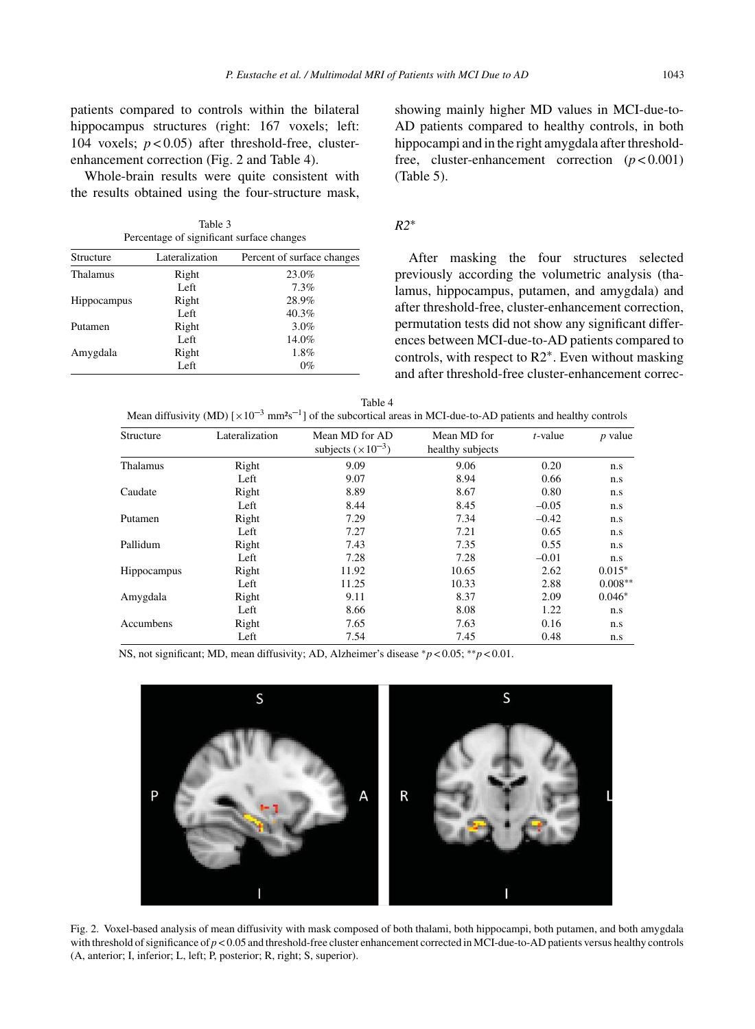patients compared to controls within the bilateral hippocampus structures (right: 167 voxels; left: 104 voxels; *p* < 0.05) after threshold-free, clusterenhancement correction (Fig. 2 and Table 4).

Whole-brain results were quite consistent with the results obtained using the four-structure mask,

| Table 3                                   |  |
|-------------------------------------------|--|
| Percentage of significant surface changes |  |

| Structure          | Lateralization | Percent of surface changes |
|--------------------|----------------|----------------------------|
| Thalamus           | Right          | 23.0%                      |
|                    | Left           | 7.3%                       |
| <b>Hippocampus</b> | Right          | 28.9%                      |
|                    | Left           | 40.3%                      |
| Putamen            | Right          | 3.0%                       |
|                    | Left           | 14.0%                      |
| Amygdala           | Right          | 1.8%                       |
|                    | Left           | 0%                         |

showing mainly higher MD values in MCI-due-to-AD patients compared to healthy controls, in both hippocampi and in the right amygdala after thresholdfree, cluster-enhancement correction  $(p < 0.001)$ (Table 5).

# *R2*∗

After masking the four structures selected previously according the volumetric analysis (thalamus, hippocampus, putamen, and amygdala) and after threshold-free, cluster-enhancement correction, permutation tests did not show any significant differences between MCI-due-to-AD patients compared to controls, with respect to R2∗. Even without masking and after threshold-free cluster-enhancement correc-

| ٧ |  |
|---|--|
|---|--|

| Mean diffusivity (MD) $[\times 10^{-3}$ mm <sup>2</sup> s <sup>-1</sup> ] of the subcortical areas in MCI-due-to-AD patients and healthy controls |
|---------------------------------------------------------------------------------------------------------------------------------------------------|
|---------------------------------------------------------------------------------------------------------------------------------------------------|

| Structure          | Lateralization | Mean MD for AD<br>subjects $(\times 10^{-3})$ | Mean MD for<br>healthy subjects | $t$ -value | $p$ value |
|--------------------|----------------|-----------------------------------------------|---------------------------------|------------|-----------|
| Thalamus           | Right          | 9.09                                          | 9.06                            | 0.20       | n.s       |
|                    | Left           | 9.07                                          | 8.94                            | 0.66       | n.s       |
| Caudate            | Right          | 8.89                                          | 8.67                            | 0.80       | n.s       |
|                    | Left           | 8.44                                          | 8.45                            | $-0.05$    | n.s       |
| Putamen            | Right          | 7.29                                          | 7.34                            | $-0.42$    | n.s       |
|                    | Left           | 7.27                                          | 7.21                            | 0.65       | n.s       |
| Pallidum           | Right          | 7.43                                          | 7.35                            | 0.55       | n.s       |
|                    | Left           | 7.28                                          | 7.28                            | $-0.01$    | n.s       |
| <b>Hippocampus</b> | Right          | 11.92                                         | 10.65                           | 2.62       | $0.015*$  |
|                    | Left           | 11.25                                         | 10.33                           | 2.88       | $0.008**$ |
| Amygdala           | Right          | 9.11                                          | 8.37                            | 2.09       | $0.046*$  |
|                    | Left           | 8.66                                          | 8.08                            | 1.22       | n.s       |
| Accumbens          | Right          | 7.65                                          | 7.63                            | 0.16       | n.s       |
|                    | Left           | 7.54                                          | 7.45                            | 0.48       | n.s       |

NS, not significant; MD, mean diffusivity; AD, Alzheimer's disease ∗*p* < 0.05; ∗∗*p* < 0.01.



Fig. 2. Voxel-based analysis of mean diffusivity with mask composed of both thalami, both hippocampi, both putamen, and both amygdala with threshold of significance of  $p < 0.05$  and threshold-free cluster enhancement corrected in MCI-due-to-AD patients versus healthy controls (A, anterior; I, inferior; L, left; P, posterior; R, right; S, superior).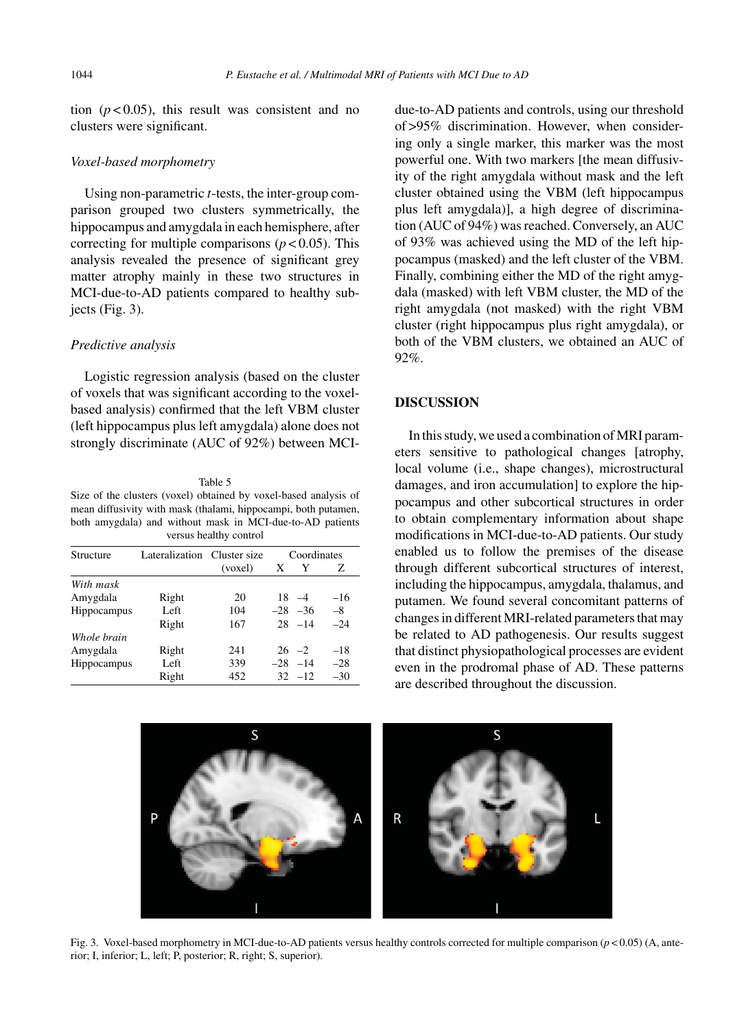tion  $(p < 0.05)$ , this result was consistent and no clusters were significant.

#### *Voxel-based morphometry*

Using non-parametric *t*-tests, the inter-group comparison grouped two clusters symmetrically, the hippocampus and amygdala in each hemisphere, after correcting for multiple comparisons  $(p < 0.05)$ . This analysis revealed the presence of significant grey matter atrophy mainly in these two structures in MCI-due-to-AD patients compared to healthy subjects (Fig. 3).

#### *Predictive analysis*

Logistic regression analysis (based on the cluster of voxels that was significant according to the voxelbased analysis) confirmed that the left VBM cluster (left hippocampus plus left amygdala) alone does not strongly discriminate (AUC of 92%) between MCI-

Table 5 Size of the clusters (voxel) obtained by voxel-based analysis of mean diffusivity with mask (thalami, hippocampi, both putamen, both amygdala) and without mask in MCI-due-to-AD patients versus healthy control

| Structure   | Lateralization Cluster size |         | Coordinates |             |       |
|-------------|-----------------------------|---------|-------------|-------------|-------|
|             |                             | (voxel) | X           | Y           | Ζ     |
| With mask   |                             |         |             |             |       |
| Amygdala    | Right                       | 20      |             | $18 - 4$    | $-16$ |
| Hippocampus | Left                        | 104     |             | $-28$ $-36$ | $-8$  |
|             | Right                       | 167     |             | $28 - 14$   | $-24$ |
| Whole brain |                             |         |             |             |       |
| Amygdala    | Right                       | 241     |             | $26 -2$     | $-18$ |
| Hippocampus | Left                        | 339     |             | $-28 -14$   | $-28$ |
|             | Right                       | 452     |             | $32 - 12$   | $-30$ |

due-to-AD patients and controls, using our threshold of >95% discrimination. However, when considering only a single marker, this marker was the most powerful one. With two markers [the mean diffusivity of the right amygdala without mask and the left cluster obtained using the VBM (left hippocampus plus left amygdala)], a high degree of discrimination (AUC of 94%) was reached. Conversely, an AUC of 93% was achieved using the MD of the left hippocampus (masked) and the left cluster of the VBM. Finally, combining either the MD of the right amygdala (masked) with left VBM cluster, the MD of the right amygdala (not masked) with the right VBM cluster (right hippocampus plus right amygdala), or both of the VBM clusters, we obtained an AUC of 92%.

## **DISCUSSION**

In this study, we used a combination of MRI parameters sensitive to pathological changes [atrophy, local volume (i.e., shape changes), microstructural damages, and iron accumulation] to explore the hippocampus and other subcortical structures in order to obtain complementary information about shape modifications in MCI-due-to-AD patients. Our study enabled us to follow the premises of the disease through different subcortical structures of interest, including the hippocampus, amygdala, thalamus, and putamen. We found several concomitant patterns of changes in different MRI-related parameters that may be related to AD pathogenesis. Our results suggest that distinct physiopathological processes are evident even in the prodromal phase of AD. These patterns are described throughout the discussion.



Fig. 3. Voxel-based morphometry in MCI-due-to-AD patients versus healthy controls corrected for multiple comparison (*p* < 0.05) (A, anterior; I, inferior; L, left; P, posterior; R, right; S, superior).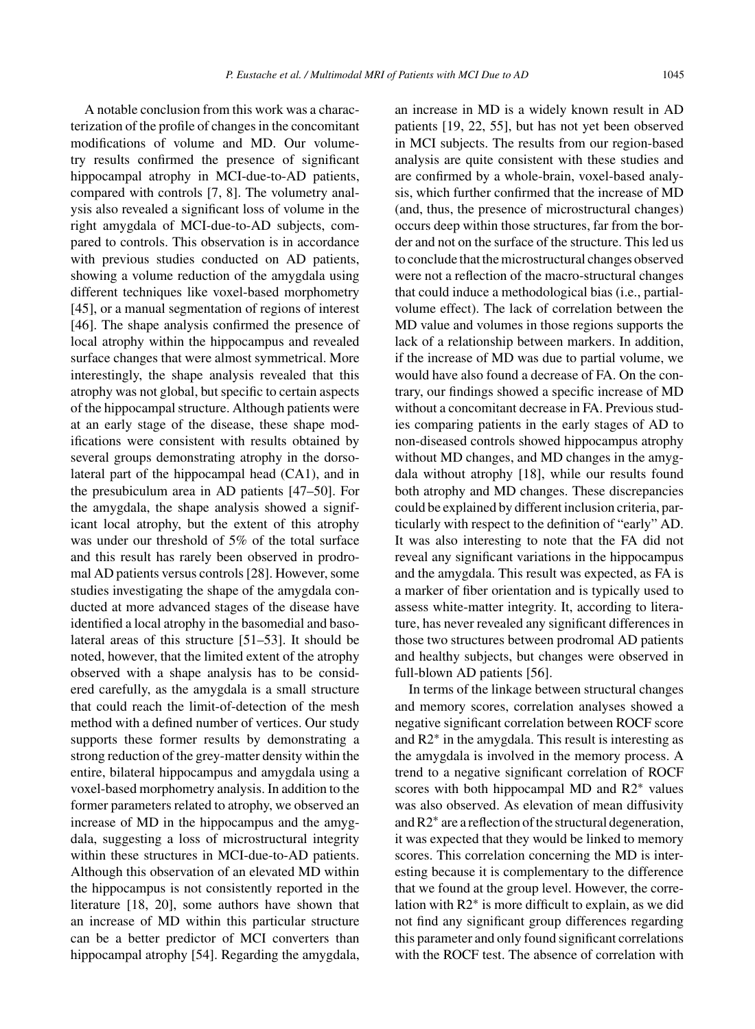A notable conclusion from this work was a characterization of the profile of changes in the concomitant modifications of volume and MD. Our volumetry results confirmed the presence of significant hippocampal atrophy in MCI-due-to-AD patients, compared with controls [7, 8]. The volumetry analysis also revealed a significant loss of volume in the right amygdala of MCI-due-to-AD subjects, compared to controls. This observation is in accordance with previous studies conducted on AD patients, showing a volume reduction of the amygdala using different techniques like voxel-based morphometry [45], or a manual segmentation of regions of interest [46]. The shape analysis confirmed the presence of local atrophy within the hippocampus and revealed surface changes that were almost symmetrical. More interestingly, the shape analysis revealed that this atrophy was not global, but specific to certain aspects of the hippocampal structure. Although patients were at an early stage of the disease, these shape modifications were consistent with results obtained by several groups demonstrating atrophy in the dorsolateral part of the hippocampal head (CA1), and in the presubiculum area in AD patients [47–50]. For the amygdala, the shape analysis showed a significant local atrophy, but the extent of this atrophy was under our threshold of 5% of the total surface and this result has rarely been observed in prodromal AD patients versus controls [28]. However, some studies investigating the shape of the amygdala conducted at more advanced stages of the disease have identified a local atrophy in the basomedial and basolateral areas of this structure [51–53]. It should be noted, however, that the limited extent of the atrophy observed with a shape analysis has to be considered carefully, as the amygdala is a small structure that could reach the limit-of-detection of the mesh method with a defined number of vertices. Our study supports these former results by demonstrating a strong reduction of the grey-matter density within the entire, bilateral hippocampus and amygdala using a voxel-based morphometry analysis. In addition to the former parameters related to atrophy, we observed an increase of MD in the hippocampus and the amygdala, suggesting a loss of microstructural integrity within these structures in MCI-due-to-AD patients. Although this observation of an elevated MD within the hippocampus is not consistently reported in the literature [18, 20], some authors have shown that an increase of MD within this particular structure can be a better predictor of MCI converters than hippocampal atrophy [54]. Regarding the amygdala,

an increase in MD is a widely known result in AD patients [19, 22, 55], but has not yet been observed in MCI subjects. The results from our region-based analysis are quite consistent with these studies and are confirmed by a whole-brain, voxel-based analysis, which further confirmed that the increase of MD (and, thus, the presence of microstructural changes) occurs deep within those structures, far from the border and not on the surface of the structure. This led us to conclude that the microstructural changes observed were not a reflection of the macro-structural changes that could induce a methodological bias (i.e., partialvolume effect). The lack of correlation between the MD value and volumes in those regions supports the lack of a relationship between markers. In addition, if the increase of MD was due to partial volume, we would have also found a decrease of FA. On the contrary, our findings showed a specific increase of MD without a concomitant decrease in FA. Previous studies comparing patients in the early stages of AD to non-diseased controls showed hippocampus atrophy without MD changes, and MD changes in the amygdala without atrophy [18], while our results found both atrophy and MD changes. These discrepancies could be explained by different inclusion criteria, particularly with respect to the definition of "early" AD. It was also interesting to note that the FA did not reveal any significant variations in the hippocampus and the amygdala. This result was expected, as FA is a marker of fiber orientation and is typically used to assess white-matter integrity. It, according to literature, has never revealed any significant differences in those two structures between prodromal AD patients and healthy subjects, but changes were observed in full-blown AD patients [56].

In terms of the linkage between structural changes and memory scores, correlation analyses showed a negative significant correlation between ROCF score and R2∗ in the amygdala. This result is interesting as the amygdala is involved in the memory process. A trend to a negative significant correlation of ROCF scores with both hippocampal MD and R2∗ values was also observed. As elevation of mean diffusivity and R2∗ are a reflection of the structural degeneration, it was expected that they would be linked to memory scores. This correlation concerning the MD is interesting because it is complementary to the difference that we found at the group level. However, the correlation with R2∗ is more difficult to explain, as we did not find any significant group differences regarding this parameter and only found significant correlations with the ROCF test. The absence of correlation with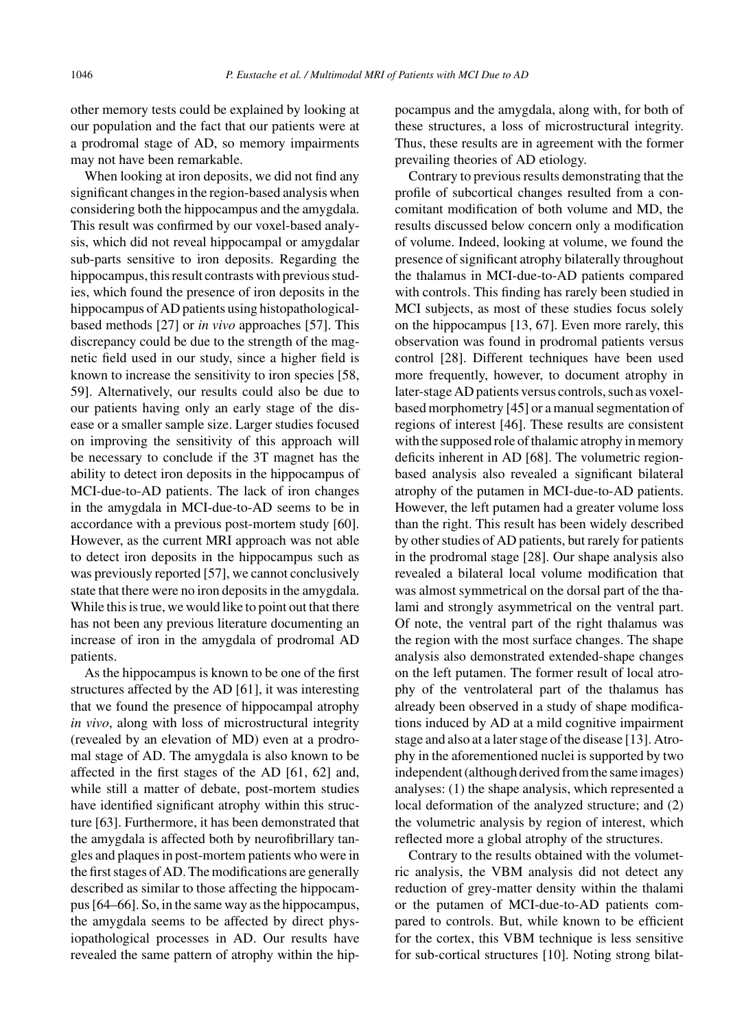other memory tests could be explained by looking at our population and the fact that our patients were at a prodromal stage of AD, so memory impairments may not have been remarkable.

When looking at iron deposits, we did not find any significant changes in the region-based analysis when considering both the hippocampus and the amygdala. This result was confirmed by our voxel-based analysis, which did not reveal hippocampal or amygdalar sub-parts sensitive to iron deposits. Regarding the hippocampus, this result contrasts with previous studies, which found the presence of iron deposits in the hippocampus of AD patients using histopathologicalbased methods [27] or *in vivo* approaches [57]. This discrepancy could be due to the strength of the magnetic field used in our study, since a higher field is known to increase the sensitivity to iron species [58, 59]. Alternatively, our results could also be due to our patients having only an early stage of the disease or a smaller sample size. Larger studies focused on improving the sensitivity of this approach will be necessary to conclude if the 3T magnet has the ability to detect iron deposits in the hippocampus of MCI-due-to-AD patients. The lack of iron changes in the amygdala in MCI-due-to-AD seems to be in accordance with a previous post-mortem study [60]. However, as the current MRI approach was not able to detect iron deposits in the hippocampus such as was previously reported [57], we cannot conclusively state that there were no iron deposits in the amygdala. While this is true, we would like to point out that there has not been any previous literature documenting an increase of iron in the amygdala of prodromal AD patients.

As the hippocampus is known to be one of the first structures affected by the AD [61], it was interesting that we found the presence of hippocampal atrophy *in vivo*, along with loss of microstructural integrity (revealed by an elevation of MD) even at a prodromal stage of AD. The amygdala is also known to be affected in the first stages of the AD [61, 62] and, while still a matter of debate, post-mortem studies have identified significant atrophy within this structure [63]. Furthermore, it has been demonstrated that the amygdala is affected both by neurofibrillary tangles and plaques in post-mortem patients who were in the first stages of AD. The modifications are generally described as similar to those affecting the hippocampus [64–66]. So, in the same way as the hippocampus, the amygdala seems to be affected by direct physiopathological processes in AD. Our results have revealed the same pattern of atrophy within the hippocampus and the amygdala, along with, for both of these structures, a loss of microstructural integrity. Thus, these results are in agreement with the former prevailing theories of AD etiology.

Contrary to previous results demonstrating that the profile of subcortical changes resulted from a concomitant modification of both volume and MD, the results discussed below concern only a modification of volume. Indeed, looking at volume, we found the presence of significant atrophy bilaterally throughout the thalamus in MCI-due-to-AD patients compared with controls. This finding has rarely been studied in MCI subjects, as most of these studies focus solely on the hippocampus [13, 67]. Even more rarely, this observation was found in prodromal patients versus control [28]. Different techniques have been used more frequently, however, to document atrophy in later-stage AD patients versus controls, such as voxelbased morphometry [45] or a manual segmentation of regions of interest [46]. These results are consistent with the supposed role of thalamic atrophy in memory deficits inherent in AD [68]. The volumetric regionbased analysis also revealed a significant bilateral atrophy of the putamen in MCI-due-to-AD patients. However, the left putamen had a greater volume loss than the right. This result has been widely described by other studies of AD patients, but rarely for patients in the prodromal stage [28]. Our shape analysis also revealed a bilateral local volume modification that was almost symmetrical on the dorsal part of the thalami and strongly asymmetrical on the ventral part. Of note, the ventral part of the right thalamus was the region with the most surface changes. The shape analysis also demonstrated extended-shape changes on the left putamen. The former result of local atrophy of the ventrolateral part of the thalamus has already been observed in a study of shape modifications induced by AD at a mild cognitive impairment stage and also at a later stage of the disease [13]. Atrophy in the aforementioned nuclei is supported by two independent (although derived from the same images) analyses: (1) the shape analysis, which represented a local deformation of the analyzed structure; and (2) the volumetric analysis by region of interest, which reflected more a global atrophy of the structures.

Contrary to the results obtained with the volumetric analysis, the VBM analysis did not detect any reduction of grey-matter density within the thalami or the putamen of MCI-due-to-AD patients compared to controls. But, while known to be efficient for the cortex, this VBM technique is less sensitive for sub-cortical structures [10]. Noting strong bilat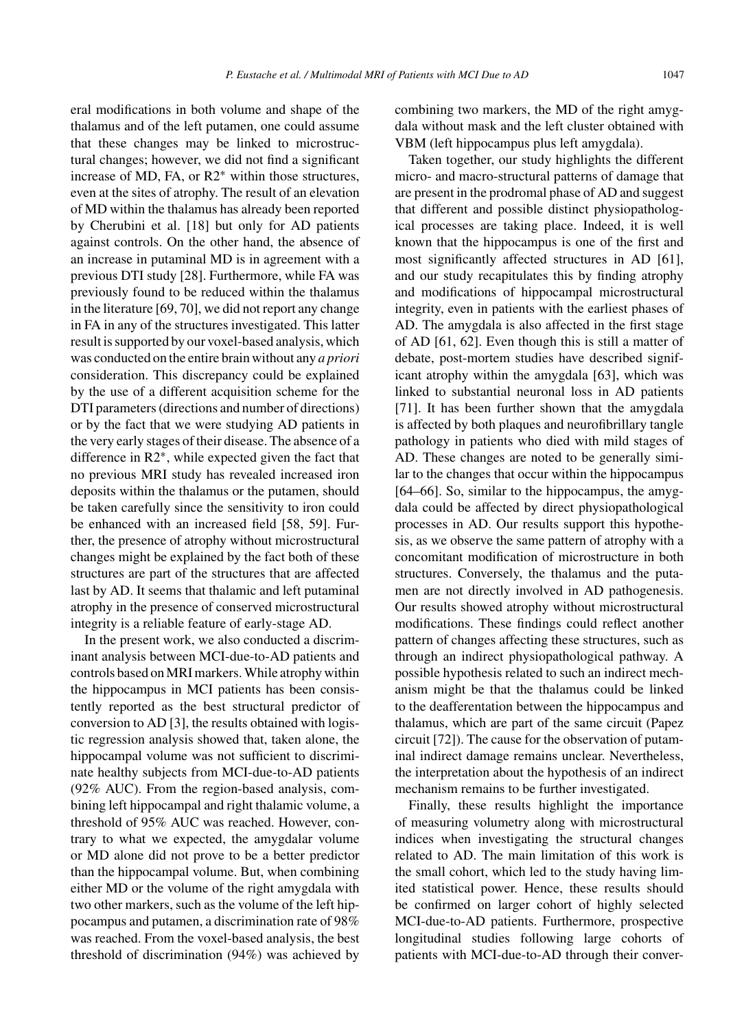eral modifications in both volume and shape of the thalamus and of the left putamen, one could assume that these changes may be linked to microstructural changes; however, we did not find a significant increase of MD, FA, or R2∗ within those structures, even at the sites of atrophy. The result of an elevation of MD within the thalamus has already been reported by Cherubini et al. [18] but only for AD patients against controls. On the other hand, the absence of an increase in putaminal MD is in agreement with a previous DTI study [28]. Furthermore, while FA was previously found to be reduced within the thalamus in the literature [69, 70], we did not report any change in FA in any of the structures investigated. This latter result is supported by our voxel-based analysis, which was conducted on the entire brain without any *a priori* consideration. This discrepancy could be explained by the use of a different acquisition scheme for the DTI parameters (directions and number of directions) or by the fact that we were studying AD patients in the very early stages of their disease. The absence of a difference in R2∗, while expected given the fact that no previous MRI study has revealed increased iron deposits within the thalamus or the putamen, should be taken carefully since the sensitivity to iron could be enhanced with an increased field [58, 59]. Further, the presence of atrophy without microstructural changes might be explained by the fact both of these structures are part of the structures that are affected last by AD. It seems that thalamic and left putaminal atrophy in the presence of conserved microstructural integrity is a reliable feature of early-stage AD.

In the present work, we also conducted a discriminant analysis between MCI-due-to-AD patients and controls based on MRI markers. While atrophy within the hippocampus in MCI patients has been consistently reported as the best structural predictor of conversion to AD [3], the results obtained with logistic regression analysis showed that, taken alone, the hippocampal volume was not sufficient to discriminate healthy subjects from MCI-due-to-AD patients (92% AUC). From the region-based analysis, combining left hippocampal and right thalamic volume, a threshold of 95% AUC was reached. However, contrary to what we expected, the amygdalar volume or MD alone did not prove to be a better predictor than the hippocampal volume. But, when combining either MD or the volume of the right amygdala with two other markers, such as the volume of the left hippocampus and putamen, a discrimination rate of 98% was reached. From the voxel-based analysis, the best threshold of discrimination (94%) was achieved by

combining two markers, the MD of the right amygdala without mask and the left cluster obtained with VBM (left hippocampus plus left amygdala).

Taken together, our study highlights the different micro- and macro-structural patterns of damage that are present in the prodromal phase of AD and suggest that different and possible distinct physiopathological processes are taking place. Indeed, it is well known that the hippocampus is one of the first and most significantly affected structures in AD [61], and our study recapitulates this by finding atrophy and modifications of hippocampal microstructural integrity, even in patients with the earliest phases of AD. The amygdala is also affected in the first stage of AD [61, 62]. Even though this is still a matter of debate, post-mortem studies have described significant atrophy within the amygdala [63], which was linked to substantial neuronal loss in AD patients [71]. It has been further shown that the amygdala is affected by both plaques and neurofibrillary tangle pathology in patients who died with mild stages of AD. These changes are noted to be generally similar to the changes that occur within the hippocampus [64–66]. So, similar to the hippocampus, the amygdala could be affected by direct physiopathological processes in AD. Our results support this hypothesis, as we observe the same pattern of atrophy with a concomitant modification of microstructure in both structures. Conversely, the thalamus and the putamen are not directly involved in AD pathogenesis. Our results showed atrophy without microstructural modifications. These findings could reflect another pattern of changes affecting these structures, such as through an indirect physiopathological pathway. A possible hypothesis related to such an indirect mechanism might be that the thalamus could be linked to the deafferentation between the hippocampus and thalamus, which are part of the same circuit (Papez circuit [72]). The cause for the observation of putaminal indirect damage remains unclear. Nevertheless, the interpretation about the hypothesis of an indirect mechanism remains to be further investigated.

Finally, these results highlight the importance of measuring volumetry along with microstructural indices when investigating the structural changes related to AD. The main limitation of this work is the small cohort, which led to the study having limited statistical power. Hence, these results should be confirmed on larger cohort of highly selected MCI-due-to-AD patients. Furthermore, prospective longitudinal studies following large cohorts of patients with MCI-due-to-AD through their conver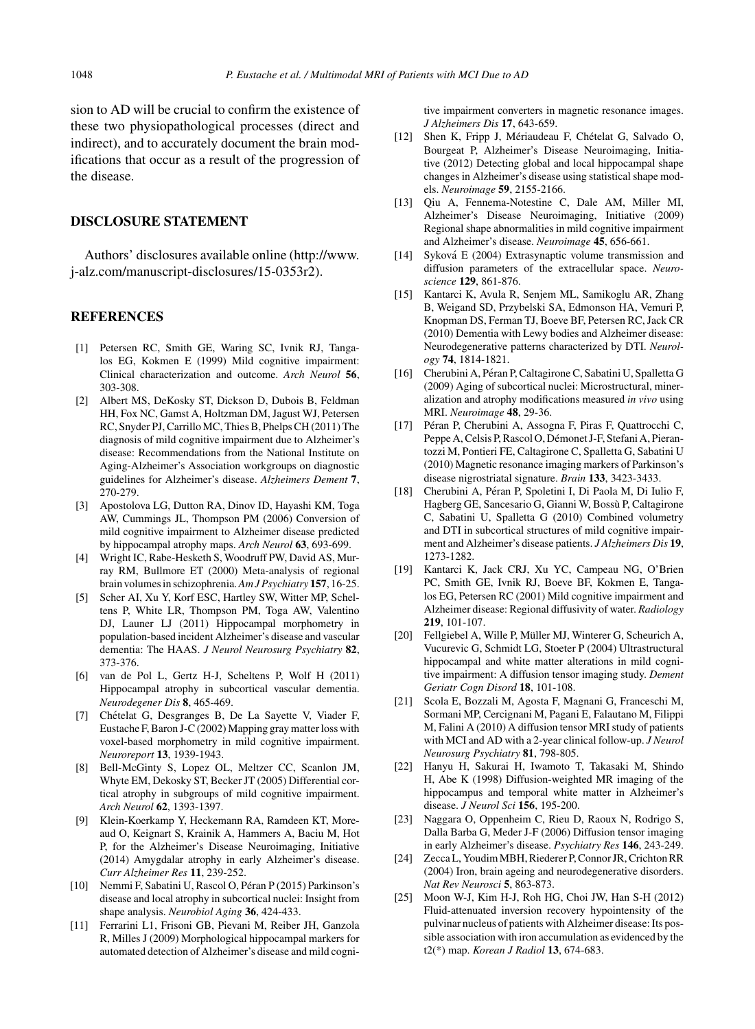sion to AD will be crucial to confirm the existence of these two physiopathological processes (direct and indirect), and to accurately document the brain modifications that occur as a result of the progression of the disease.

# **DISCLOSURE STATEMENT**

Authors' disclosures available online [\(http://www.](http://www.j-alz.com/manuscript-disclosures/15-0353r2) [j-alz.com/manuscript-disclosures/15-0353r2](http://www.j-alz.com/manuscript-disclosures/15-0353r2)).

#### **REFERENCES**

- [1] Petersen RC, Smith GE, Waring SC, Ivnik RJ, Tangalos EG, Kokmen E (1999) Mild cognitive impairment: Clinical characterization and outcome. *Arch Neurol* **56**, 303-308.
- [2] Albert MS, DeKosky ST, Dickson D, Dubois B, Feldman HH, Fox NC, Gamst A, Holtzman DM, Jagust WJ, Petersen RC, Snyder PJ, Carrillo MC, Thies B, Phelps CH (2011) The diagnosis of mild cognitive impairment due to Alzheimer's disease: Recommendations from the National Institute on Aging-Alzheimer's Association workgroups on diagnostic guidelines for Alzheimer's disease. *Alzheimers Dement* **7**, 270-279.
- [3] Apostolova LG, Dutton RA, Dinov ID, Hayashi KM, Toga AW, Cummings JL, Thompson PM (2006) Conversion of mild cognitive impairment to Alzheimer disease predicted by hippocampal atrophy maps. *Arch Neurol* **63**, 693-699.
- [4] Wright IC, Rabe-Hesketh S, Woodruff PW, David AS, Murray RM, Bullmore ET (2000) Meta-analysis of regional brain volumes in schizophrenia.*Am J Psychiatry* **157**, 16-25.
- [5] Scher AI, Xu Y, Korf ESC, Hartley SW, Witter MP, Scheltens P, White LR, Thompson PM, Toga AW, Valentino DJ, Launer LJ (2011) Hippocampal morphometry in population-based incident Alzheimer's disease and vascular dementia: The HAAS. *J Neurol Neurosurg Psychiatry* **82**, 373-376.
- [6] van de Pol L, Gertz H-J, Scheltens P, Wolf H (2011) Hippocampal atrophy in subcortical vascular dementia. *Neurodegener Dis* **8**, 465-469.
- [7] Chételat G, Desgranges B, De La Sayette V, Viader F, Eustache F, Baron J-C (2002) Mapping gray matter loss with voxel-based morphometry in mild cognitive impairment. *Neuroreport* **13**, 1939-1943.
- [8] Bell-McGinty S, Lopez OL, Meltzer CC, Scanlon JM, Whyte EM, Dekosky ST, Becker JT (2005) Differential cortical atrophy in subgroups of mild cognitive impairment. *Arch Neurol* **62**, 1393-1397.
- [9] Klein-Koerkamp Y, Heckemann RA, Ramdeen KT, Moreaud O, Keignart S, Krainik A, Hammers A, Baciu M, Hot P, for the Alzheimer's Disease Neuroimaging, Initiative (2014) Amygdalar atrophy in early Alzheimer's disease. *Curr Alzheimer Res* **11**, 239-252.
- [10] Nemmi F, Sabatini U, Rascol O, Péran P (2015) Parkinson's disease and local atrophy in subcortical nuclei: Insight from shape analysis. *Neurobiol Aging* **36**, 424-433.
- [11] Ferrarini L1, Frisoni GB, Pievani M, Reiber JH, Ganzola R, Milles J (2009) Morphological hippocampal markers for automated detection of Alzheimer's disease and mild cogni-

tive impairment converters in magnetic resonance images. *J Alzheimers Dis* **17**, 643-659.

- [12] Shen K, Fripp J, Mériaudeau F, Chételat G, Salvado O, Bourgeat P, Alzheimer's Disease Neuroimaging, Initiative (2012) Detecting global and local hippocampal shape changes in Alzheimer's disease using statistical shape models. *Neuroimage* **59**, 2155-2166.
- [13] Qiu A, Fennema-Notestine C, Dale AM, Miller MI, Alzheimer's Disease Neuroimaging, Initiative (2009) Regional shape abnormalities in mild cognitive impairment and Alzheimer's disease. *Neuroimage* **45**, 656-661.
- [14] Syková E (2004) Extrasynaptic volume transmission and diffusion parameters of the extracellular space. *Neuroscience* **129**, 861-876.
- [15] Kantarci K, Avula R, Senjem ML, Samikoglu AR, Zhang B, Weigand SD, Przybelski SA, Edmonson HA, Vemuri P, Knopman DS, Ferman TJ, Boeve BF, Petersen RC, Jack CR (2010) Dementia with Lewy bodies and Alzheimer disease: Neurodegenerative patterns characterized by DTI. *Neurology* **74**, 1814-1821.
- [16] Cherubini A, Péran P, Caltagirone C, Sabatini U, Spalletta G (2009) Aging of subcortical nuclei: Microstructural, mineralization and atrophy modifications measured *in vivo* using MRI. *Neuroimage* **48**, 29-36.
- [17] Péran P, Cherubini A, Assogna F, Piras F, Quattrocchi C, Peppe A, Celsis P, Rascol O, Démonet J-F, Stefani A, Pierantozzi M, Pontieri FE, Caltagirone C, Spalletta G, Sabatini U (2010) Magnetic resonance imaging markers of Parkinson's disease nigrostriatal signature. *Brain* **133**, 3423-3433.
- [18] Cherubini A, Péran P, Spoletini I, Di Paola M, Di Iulio F, Hagberg GE, Sancesario G, Gianni W, Bossu P, Caltagirone ` C, Sabatini U, Spalletta G (2010) Combined volumetry and DTI in subcortical structures of mild cognitive impairment and Alzheimer's disease patients. *J Alzheimers Dis* **19**, 1273-1282.
- [19] Kantarci K, Jack CRJ, Xu YC, Campeau NG, O'Brien PC, Smith GE, Ivnik RJ, Boeve BF, Kokmen E, Tangalos EG, Petersen RC (2001) Mild cognitive impairment and Alzheimer disease: Regional diffusivity of water. *Radiology* **219**, 101-107.
- [20] Fellgiebel A, Wille P, Müller MJ, Winterer G, Scheurich A, Vucurevic G, Schmidt LG, Stoeter P (2004) Ultrastructural hippocampal and white matter alterations in mild cognitive impairment: A diffusion tensor imaging study. *Dement Geriatr Cogn Disord* **18**, 101-108.
- [21] Scola E, Bozzali M, Agosta F, Magnani G, Franceschi M, Sormani MP, Cercignani M, Pagani E, Falautano M, Filippi M, Falini A (2010) A diffusion tensor MRI study of patients with MCI and AD with a 2-year clinical follow-up. *J Neurol Neurosurg Psychiatry* **81**, 798-805.
- [22] Hanyu H, Sakurai H, Iwamoto T, Takasaki M, Shindo H, Abe K (1998) Diffusion-weighted MR imaging of the hippocampus and temporal white matter in Alzheimer's disease. *J Neurol Sci* **156**, 195-200.
- [23] Naggara O, Oppenheim C, Rieu D, Raoux N, Rodrigo S, Dalla Barba G, Meder J-F (2006) Diffusion tensor imaging in early Alzheimer's disease. *Psychiatry Res* **146**, 243-249.
- [24] Zecca L, Youdim MBH, Riederer P, Connor JR, Crichton RR (2004) Iron, brain ageing and neurodegenerative disorders. *Nat Rev Neurosci* **5**, 863-873.
- [25] Moon W-J, Kim H-J, Roh HG, Choi JW, Han S-H (2012) Fluid-attenuated inversion recovery hypointensity of the pulvinar nucleus of patients with Alzheimer disease: Its possible association with iron accumulation as evidenced by the t2(\*) map. *Korean J Radiol* **13**, 674-683.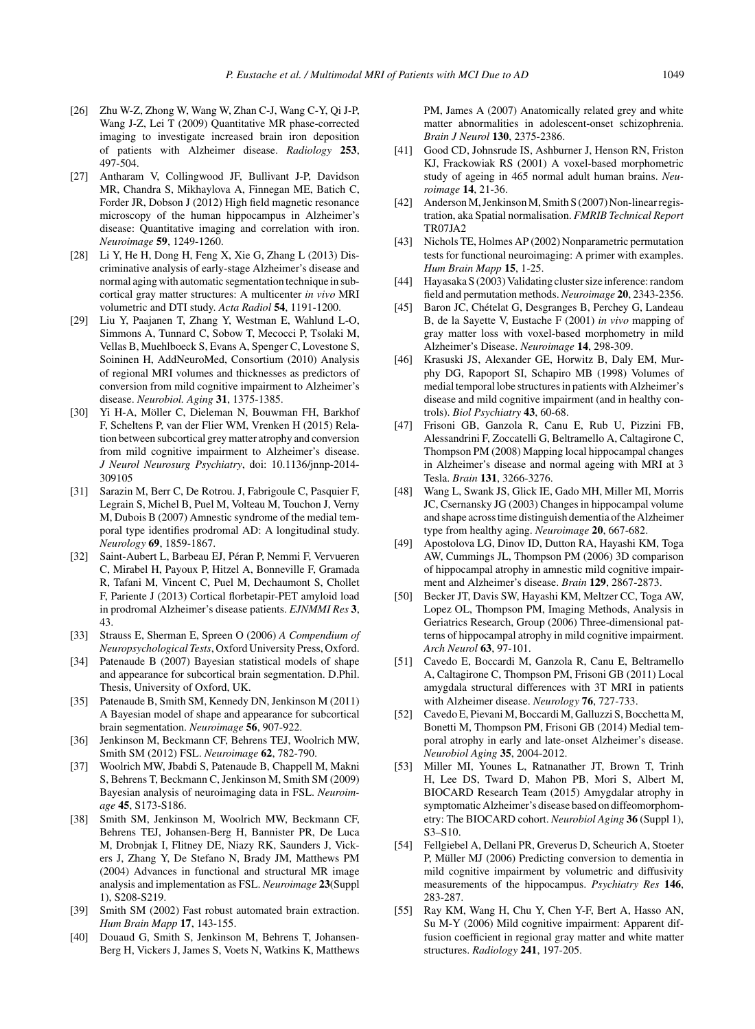- [26] Zhu W-Z, Zhong W, Wang W, Zhan C-J, Wang C-Y, Qi J-P, Wang J-Z, Lei T (2009) Quantitative MR phase-corrected imaging to investigate increased brain iron deposition of patients with Alzheimer disease. *Radiology* **253**, 497-504.
- [27] Antharam V, Collingwood JF, Bullivant J-P, Davidson MR, Chandra S, Mikhaylova A, Finnegan ME, Batich C, Forder JR, Dobson J (2012) High field magnetic resonance microscopy of the human hippocampus in Alzheimer's disease: Quantitative imaging and correlation with iron. *Neuroimage* **59**, 1249-1260.
- [28] Li Y, He H, Dong H, Feng X, Xie G, Zhang L (2013) Discriminative analysis of early-stage Alzheimer's disease and normal aging with automatic segmentation technique in subcortical gray matter structures: A multicenter *in vivo* MRI volumetric and DTI study. *Acta Radiol* **54**, 1191-1200.
- [29] Liu Y, Paajanen T, Zhang Y, Westman E, Wahlund L-O, Simmons A, Tunnard C, Sobow T, Mecocci P, Tsolaki M, Vellas B, Muehlboeck S, Evans A, Spenger C, Lovestone S, Soininen H, AddNeuroMed, Consortium (2010) Analysis of regional MRI volumes and thicknesses as predictors of conversion from mild cognitive impairment to Alzheimer's disease. *Neurobiol. Aging* **31**, 1375-1385.
- [30] Yi H-A, Möller C, Dieleman N, Bouwman FH, Barkhof F, Scheltens P, van der Flier WM, Vrenken H (2015) Relation between subcortical grey matter atrophy and conversion from mild cognitive impairment to Alzheimer's disease. *J Neurol Neurosurg Psychiatry*, doi: 10.1136/jnnp-2014- 309105
- [31] Sarazin M, Berr C, De Rotrou. J, Fabrigoule C, Pasquier F, Legrain S, Michel B, Puel M, Volteau M, Touchon J, Verny M, Dubois B (2007) Amnestic syndrome of the medial temporal type identifies prodromal AD: A longitudinal study. *Neurology* **69**, 1859-1867.
- [32] Saint-Aubert L, Barbeau EJ, Péran P, Nemmi F, Vervueren C, Mirabel H, Payoux P, Hitzel A, Bonneville F, Gramada R, Tafani M, Vincent C, Puel M, Dechaumont S, Chollet F, Pariente J (2013) Cortical florbetapir-PET amyloid load in prodromal Alzheimer's disease patients. *EJNMMI Res* **3**, 43.
- [33] Strauss E, Sherman E, Spreen O (2006) *A Compendium of Neuropsychological Tests*, Oxford University Press, Oxford.
- [34] Patenaude B (2007) Bayesian statistical models of shape and appearance for subcortical brain segmentation. D.Phil. Thesis, University of Oxford, UK.
- [35] Patenaude B, Smith SM, Kennedy DN, Jenkinson M (2011) A Bayesian model of shape and appearance for subcortical brain segmentation. *Neuroimage* **56**, 907-922.
- [36] Jenkinson M, Beckmann CF, Behrens TEJ, Woolrich MW, Smith SM (2012) FSL. *Neuroimage* **62**, 782-790.
- [37] Woolrich MW, Jbabdi S, Patenaude B, Chappell M, Makni S, Behrens T, Beckmann C, Jenkinson M, Smith SM (2009) Bayesian analysis of neuroimaging data in FSL. *Neuroimage* **45**, S173-S186.
- [38] Smith SM, Jenkinson M, Woolrich MW, Beckmann CF, Behrens TEJ, Johansen-Berg H, Bannister PR, De Luca M, Drobnjak I, Flitney DE, Niazy RK, Saunders J, Vickers J, Zhang Y, De Stefano N, Brady JM, Matthews PM (2004) Advances in functional and structural MR image analysis and implementation as FSL. *Neuroimage* **23**(Suppl 1), S208-S219.
- [39] Smith SM (2002) Fast robust automated brain extraction. *Hum Brain Mapp* **17**, 143-155.
- [40] Douaud G, Smith S, Jenkinson M, Behrens T, Johansen-Berg H, Vickers J, James S, Voets N, Watkins K, Matthews

PM, James A (2007) Anatomically related grey and white matter abnormalities in adolescent-onset schizophrenia. *Brain J Neurol* **130**, 2375-2386.

- [41] Good CD, Johnsrude IS, Ashburner J, Henson RN, Friston KJ, Frackowiak RS (2001) A voxel-based morphometric study of ageing in 465 normal adult human brains. *Neuroimage* **14**, 21-36.
- [42] Anderson M, Jenkinson M, Smith S (2007) Non-linear registration, aka Spatial normalisation. *FMRIB Technical Report* TR07JA2
- [43] Nichols TE, Holmes AP (2002) Nonparametric permutation tests for functional neuroimaging: A primer with examples. *Hum Brain Mapp* **15**, 1-25.
- [44] Hayasaka S (2003) Validating cluster size inference: random field and permutation methods. *Neuroimage* **20**, 2343-2356.
- [45] Baron JC, Chételat G, Desgranges B, Perchey G, Landeau B, de la Sayette V, Eustache F (2001) *in vivo* mapping of gray matter loss with voxel-based morphometry in mild Alzheimer's Disease. *Neuroimage* **14**, 298-309.
- [46] Krasuski JS, Alexander GE, Horwitz B, Daly EM, Murphy DG, Rapoport SI, Schapiro MB (1998) Volumes of medial temporal lobe structures in patients with Alzheimer's disease and mild cognitive impairment (and in healthy controls). *Biol Psychiatry* **43**, 60-68.
- [47] Frisoni GB, Ganzola R, Canu E, Rub U, Pizzini FB, Alessandrini F, Zoccatelli G, Beltramello A, Caltagirone C, Thompson PM (2008) Mapping local hippocampal changes in Alzheimer's disease and normal ageing with MRI at 3 Tesla. *Brain* **131**, 3266-3276.
- [48] Wang L, Swank JS, Glick IE, Gado MH, Miller MI, Morris JC, Csernansky JG (2003) Changes in hippocampal volume and shape across time distinguish dementia of the Alzheimer type from healthy aging. *Neuroimage* **20**, 667-682.
- [49] Apostolova LG, Dinov ID, Dutton RA, Hayashi KM, Toga AW, Cummings JL, Thompson PM (2006) 3D comparison of hippocampal atrophy in amnestic mild cognitive impairment and Alzheimer's disease. *Brain* **129**, 2867-2873.
- [50] Becker JT, Davis SW, Hayashi KM, Meltzer CC, Toga AW, Lopez OL, Thompson PM, Imaging Methods, Analysis in Geriatrics Research, Group (2006) Three-dimensional patterns of hippocampal atrophy in mild cognitive impairment. *Arch Neurol* **63**, 97-101.
- [51] Cavedo E, Boccardi M, Ganzola R, Canu E, Beltramello A, Caltagirone C, Thompson PM, Frisoni GB (2011) Local amygdala structural differences with 3T MRI in patients with Alzheimer disease. *Neurology* **76**, 727-733.
- [52] Cavedo E, Pievani M, Boccardi M, Galluzzi S, Bocchetta M, Bonetti M, Thompson PM, Frisoni GB (2014) Medial temporal atrophy in early and late-onset Alzheimer's disease. *Neurobiol Aging* **35**, 2004-2012.
- [53] Miller MI, Younes L, Ratnanather JT, Brown T, Trinh H, Lee DS, Tward D, Mahon PB, Mori S, Albert M, BIOCARD Research Team (2015) Amygdalar atrophy in symptomatic Alzheimer's disease based on diffeomorphometry: The BIOCARD cohort. *Neurobiol Aging* **36** (Suppl 1), S3–S10.
- [54] Fellgiebel A, Dellani PR, Greverus D, Scheurich A, Stoeter P, Müller MJ (2006) Predicting conversion to dementia in mild cognitive impairment by volumetric and diffusivity measurements of the hippocampus. *Psychiatry Res* **146**, 283-287.
- [55] Ray KM, Wang H, Chu Y, Chen Y-F, Bert A, Hasso AN, Su M-Y (2006) Mild cognitive impairment: Apparent diffusion coefficient in regional gray matter and white matter structures. *Radiology* **241**, 197-205.